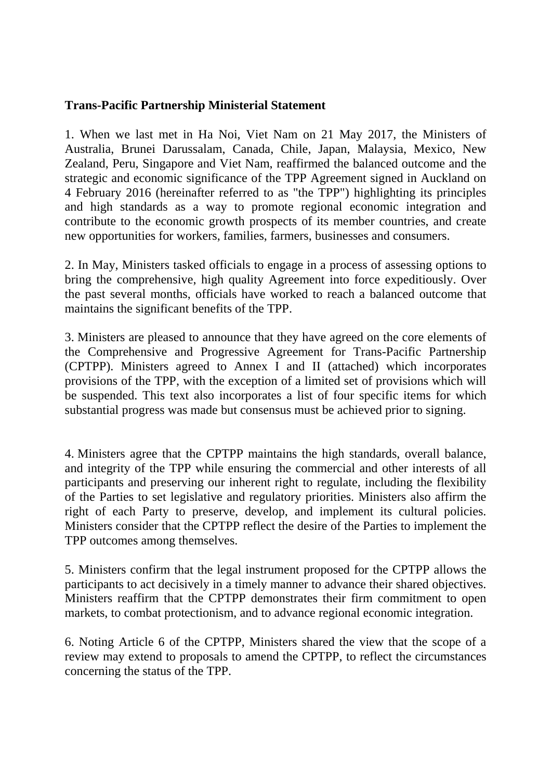## **Trans-Pacific Partnership Ministerial Statement**

1. When we last met in Ha Noi, Viet Nam on 21 May 2017, the Ministers of Australia, Brunei Darussalam, Canada, Chile, Japan, Malaysia, Mexico, New Zealand, Peru, Singapore and Viet Nam, reaffirmed the balanced outcome and the strategic and economic significance of the TPP Agreement signed in Auckland on 4 February 2016 (hereinafter referred to as "the TPP") highlighting its principles and high standards as a way to promote regional economic integration and contribute to the economic growth prospects of its member countries, and create new opportunities for workers, families, farmers, businesses and consumers.

2. In May, Ministers tasked officials to engage in a process of assessing options to bring the comprehensive, high quality Agreement into force expeditiously. Over the past several months, officials have worked to reach a balanced outcome that maintains the significant benefits of the TPP.

3. Ministers are pleased to announce that they have agreed on the core elements of the Comprehensive and Progressive Agreement for Trans-Pacific Partnership (CPTPP). Ministers agreed to Annex I and II (attached) which incorporates provisions of the TPP, with the exception of a limited set of provisions which will be suspended. This text also incorporates a list of four specific items for which substantial progress was made but consensus must be achieved prior to signing.

4. Ministers agree that the CPTPP maintains the high standards, overall balance, and integrity of the TPP while ensuring the commercial and other interests of all participants and preserving our inherent right to regulate, including the flexibility of the Parties to set legislative and regulatory priorities. Ministers also affirm the right of each Party to preserve, develop, and implement its cultural policies. Ministers consider that the CPTPP reflect the desire of the Parties to implement the TPP outcomes among themselves.

5. Ministers confirm that the legal instrument proposed for the CPTPP allows the participants to act decisively in a timely manner to advance their shared objectives. Ministers reaffirm that the CPTPP demonstrates their firm commitment to open markets, to combat protectionism, and to advance regional economic integration.

6. Noting Article 6 of the CPTPP, Ministers shared the view that the scope of a review may extend to proposals to amend the CPTPP, to reflect the circumstances concerning the status of the TPP.